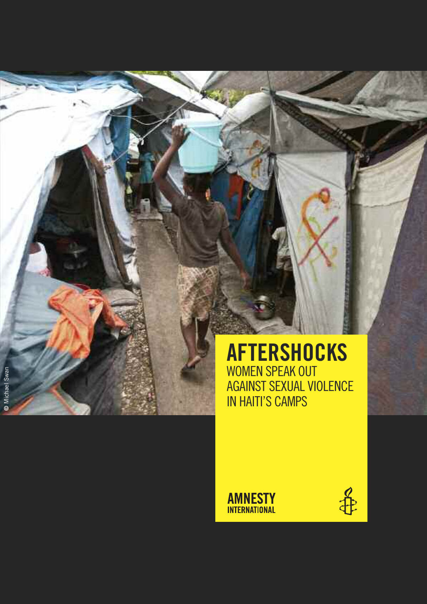# **aFTERSHOCKS** WOMEN SPEAK OUT AGAINST SEXUAL VIOLENCE IN HAITI'S CAMPS

**AMNESTY INTERNATIONAL** 

**©** Michael Swar Michael Swan

争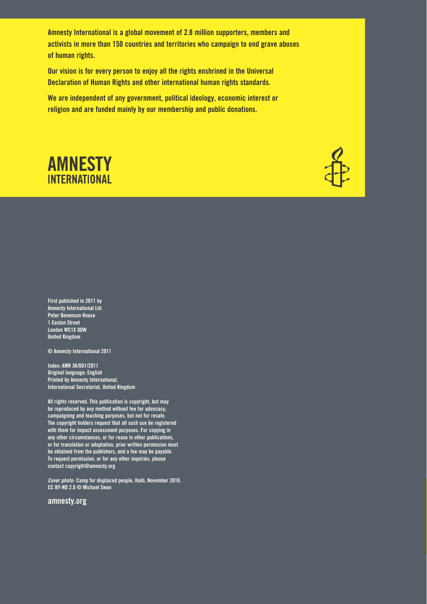**amnesty international is a global movement of 2.8 million supporters, members and activists in more than 150 countries and territories who campaign to end grave abuses of human rights.**

**our vision is for every person to enjoy all the rights enshrined in the universal Declaration of human rights and other international human rights standards.**

**we are independent of any government, political ideology, economic interest or religion and are funded mainly by our membership and public donations.**





**first published in 2011 by amnesty international ltd peter Benenson house 1 easton street london wc1x 0Dw united kingdom**

**© amnesty international 2011**

**index: amr 36/001/2011 original language: english printed by amnesty international, international secretariat, united kingdom**

**all rights reserved. this publication is copyright, but may be reproduced by any method without fee for advocacy, campaigning and teaching purposes, but not for resale. the copyright holders request that all such use be registered with them for impact assessment purposes. for copying in any other circumstances, or for reuse in other publications, or for translation or adaptation, prior written permission must be obtained from the publishers, and a fee may be payable. to request permission, or for any other inquiries, please contact copyright@amnesty.org**

**Cover photo: camp for displaced people, haiti, november 2010. cc BY-nD 2.0 © michael swan**

**amnesty.org**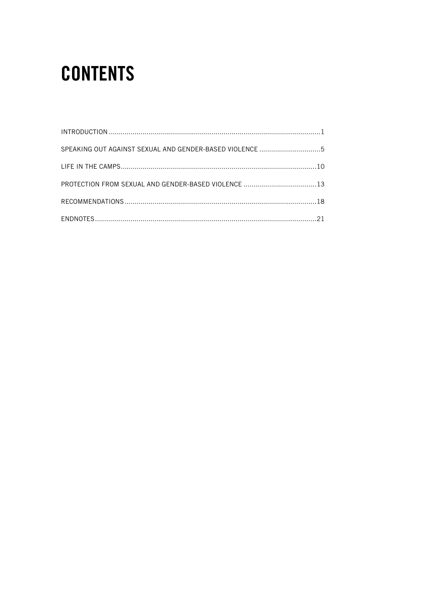# **CONTENTS**

| SPEAKING OUT AGAINST SEXUAL AND GENDER-BASED VIOLENCE 5 |  |
|---------------------------------------------------------|--|
|                                                         |  |
|                                                         |  |
|                                                         |  |
|                                                         |  |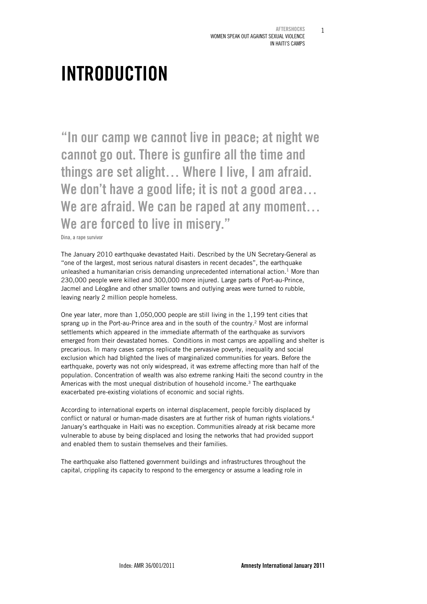1

# INTRODUCTION

"In our camp we cannot live in peace; at night we cannot go out. There is gunfire all the time and things are set alight… Where I live, I am afraid. We don't have a good life; it is not a good area... We are afraid. We can be raped at any moment... We are forced to live in misery."

Dina, a rape survivor

The January 2010 earthquake devastated Haiti. Described by the UN Secretary-General as "one of the largest, most serious natural disasters in recent decades", the earthquake unleashed a humanitarian crisis demanding unprecedented international action.<sup>1</sup> More than 230,000 people were killed and 300,000 more injured. Large parts of Port-au-Prince, Jacmel and Léogâne and other smaller towns and outlying areas were turned to rubble, leaving nearly 2 million people homeless.

One year later, more than 1,050,000 people are still living in the 1,199 tent cities that sprang up in the Port-au-Prince area and in the south of the country.<sup>2</sup> Most are informal settlements which appeared in the immediate aftermath of the earthquake as survivors emerged from their devastated homes. Conditions in most camps are appalling and shelter is precarious. In many cases camps replicate the pervasive poverty, inequality and social exclusion which had blighted the lives of marginalized communities for years. Before the earthquake, poverty was not only widespread, it was extreme affecting more than half of the population. Concentration of wealth was also extreme ranking Haiti the second country in the Americas with the most unequal distribution of household income.<sup>3</sup> The earthquake exacerbated pre-existing violations of economic and social rights.

According to international experts on internal displacement, people forcibly displaced by conflict or natural or human-made disasters are at further risk of human rights violations.<sup>4</sup> January's earthquake in Haiti was no exception. Communities already at risk became more vulnerable to abuse by being displaced and losing the networks that had provided support and enabled them to sustain themselves and their families.

The earthquake also flattened government buildings and infrastructures throughout the capital, crippling its capacity to respond to the emergency or assume a leading role in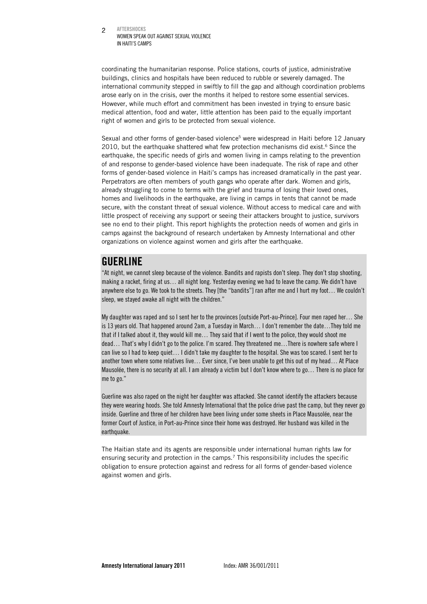AFTERSHOCKS WOMEN SPEAK OUT AGAINST SEXUAL VIOLENCE IN HAITI'S CAMPS  $\mathfrak{D}$ 

coordinating the humanitarian response. Police stations, courts of justice, administrative buildings, clinics and hospitals have been reduced to rubble or severely damaged. The international community stepped in swiftly to fill the gap and although coordination problems arose early on in the crisis, over the months it helped to restore some essential services. However, while much effort and commitment has been invested in trying to ensure basic medical attention, food and water, little attention has been paid to the equally important right of women and girls to be protected from sexual violence.

Sexual and other forms of gender-based violence<sup>5</sup> were widespread in Haiti before 12 January 2010, but the earthquake shattered what few protection mechanisms did exist.<sup>6</sup> Since the earthquake, the specific needs of girls and women living in camps relating to the prevention of and response to gender-based violence have been inadequate. The risk of rape and other forms of gender-based violence in Haiti's camps has increased dramatically in the past year. Perpetrators are often members of youth gangs who operate after dark. Women and girls, already struggling to come to terms with the grief and trauma of losing their loved ones, homes and livelihoods in the earthquake, are living in camps in tents that cannot be made secure, with the constant threat of sexual violence. Without access to medical care and with little prospect of receiving any support or seeing their attackers brought to justice, survivors see no end to their plight. This report highlights the protection needs of women and girls in camps against the background of research undertaken by Amnesty International and other organizations on violence against women and girls after the earthquake.

### **GUERLINE**

"At night, we cannot sleep because of the violence. Bandits and rapists don't sleep. They don't stop shooting, making a racket, firing at us… all night long. Yesterday evening we had to leave the camp. We didn't have anywhere else to go. We took to the streets. They [the "bandits"] ran after me and I hurt my foot… We couldn't sleep, we stayed awake all night with the children."

My daughter was raped and so I sent her to the provinces [outside Port-au-Prince]. Four men raped her… She is 13 years old. That happened around 2am, a Tuesday in March… I don't remember the date…They told me that if I talked about it, they would kill me… They said that if I went to the police, they would shoot me dead… That's why I didn't go to the police. I'm scared. They threatened me…There is nowhere safe where I can live so I had to keep quiet… I didn't take my daughter to the hospital. She was too scared. I sent her to another town where some relatives live… Ever since, I've been unable to get this out of my head… At Place Mausolée, there is no security at all. I am already a victim but I don't know where to go… There is no place for me to go."

Guerline was also raped on the night her daughter was attacked. She cannot identify the attackers because they were wearing hoods. She told Amnesty International that the police drive past the camp, but they never go inside. Guerline and three of her children have been living under some sheets in Place Mausolée, near the former Court of Justice, in Port-au-Prince since their home was destroyed. Her husband was killed in the earthquake.

The Haitian state and its agents are responsible under international human rights law for ensuring security and protection in the camps.<sup>7</sup> This responsibility includes the specific obligation to ensure protection against and redress for all forms of gender-based violence against women and girls.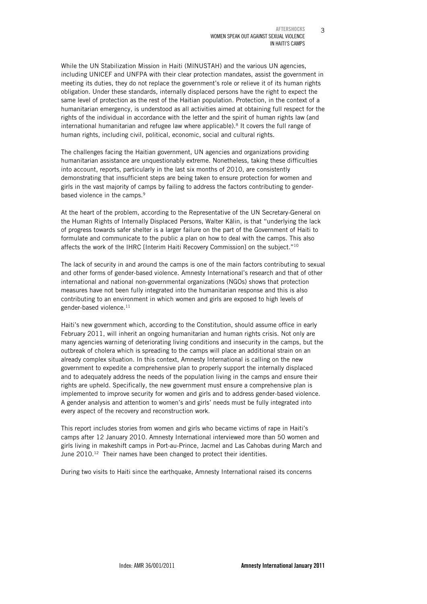3

While the UN Stabilization Mission in Haiti (MINUSTAH) and the various UN agencies, including UNICEF and UNFPA with their clear protection mandates, assist the government in meeting its duties, they do not replace the government's role or relieve it of its human rights obligation. Under these standards, internally displaced persons have the right to expect the same level of protection as the rest of the Haitian population. Protection, in the context of a humanitarian emergency, is understood as all activities aimed at obtaining full respect for the rights of the individual in accordance with the letter and the spirit of human rights law (and international humanitarian and refugee law where applicable).<sup>8</sup> It covers the full range of human rights, including civil, political, economic, social and cultural rights.

The challenges facing the Haitian government, UN agencies and organizations providing humanitarian assistance are unquestionably extreme. Nonetheless, taking these difficulties into account, reports, particularly in the last six months of 2010, are consistently demonstrating that insufficient steps are being taken to ensure protection for women and girls in the vast majority of camps by failing to address the factors contributing to genderbased violence in the camps.<sup>9</sup>

At the heart of the problem, according to the Representative of the UN Secretary-General on the Human Rights of Internally Displaced Persons, Walter Kälin, is that "underlying the lack of progress towards safer shelter is a larger failure on the part of the Government of Haiti to formulate and communicate to the public a plan on how to deal with the camps. This also affects the work of the IHRC [Interim Haiti Recovery Commission] on the subject."10

The lack of security in and around the camps is one of the main factors contributing to sexual and other forms of gender-based violence. Amnesty International's research and that of other international and national non-governmental organizations (NGOs) shows that protection measures have not been fully integrated into the humanitarian response and this is also contributing to an environment in which women and girls are exposed to high levels of gender-based violence.<sup>11</sup>

Haiti's new government which, according to the Constitution, should assume office in early February 2011, will inherit an ongoing humanitarian and human rights crisis. Not only are many agencies warning of deteriorating living conditions and insecurity in the camps, but the outbreak of cholera which is spreading to the camps will place an additional strain on an already complex situation. In this context, Amnesty International is calling on the new government to expedite a comprehensive plan to properly support the internally displaced and to adequately address the needs of the population living in the camps and ensure their rights are upheld. Specifically, the new government must ensure a comprehensive plan is implemented to improve security for women and girls and to address gender-based violence. A gender analysis and attention to women's and girls' needs must be fully integrated into every aspect of the recovery and reconstruction work.

This report includes stories from women and girls who became victims of rape in Haiti's camps after 12 January 2010. Amnesty International interviewed more than 50 women and girls living in makeshift camps in Port-au-Prince, Jacmel and Las Cahobas during March and June 2010.<sup>12</sup> Their names have been changed to protect their identities.

During two visits to Haiti since the earthquake, Amnesty International raised its concerns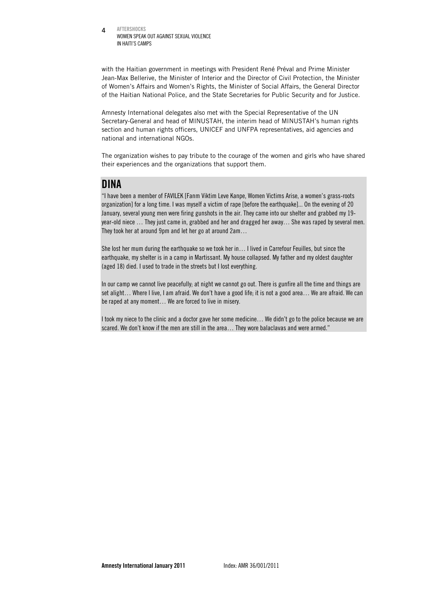AFTERSHOCKS WOMEN SPEAK OUT AGAINST SEXUAL VIOLENCE IN HAITI'S CAMPS 4

with the Haitian government in meetings with President René Préval and Prime Minister Jean-Max Bellerive, the Minister of Interior and the Director of Civil Protection, the Minister of Women's Affairs and Women's Rights, the Minister of Social Affairs, the General Director of the Haitian National Police, and the State Secretaries for Public Security and for Justice.

Amnesty International delegates also met with the Special Representative of the UN Secretary-General and head of MINUSTAH, the interim head of MINUSTAH's human rights section and human rights officers, UNICEF and UNFPA representatives, aid agencies and national and international NGOs.

The organization wishes to pay tribute to the courage of the women and girls who have shared their experiences and the organizations that support them.

### DINA

"I have been a member of FAVILEK [Fanm Viktim Leve Kanpe, Women Victims Arise, a women's grass-roots organization] for a long time. I was myself a victim of rape [before the earthquake]... On the evening of 20 January, several young men were firing gunshots in the air. They came into our shelter and grabbed my 19 year-old niece … They just came in, grabbed and her and dragged her away… She was raped by several men. They took her at around 9pm and let her go at around 2am…

She lost her mum during the earthquake so we took her in… I lived in Carrefour Feuilles, but since the earthquake, my shelter is in a camp in Martissant. My house collapsed. My father and my oldest daughter (aged 18) died. I used to trade in the streets but I lost everything.

In our camp we cannot live peacefully; at night we cannot go out. There is gunfire all the time and things are set alight… Where I live, I am afraid. We don't have a good life; it is not a good area… We are afraid. We can be raped at any moment… We are forced to live in misery.

I took my niece to the clinic and a doctor gave her some medicine… We didn't go to the police because we are scared. We don't know if the men are still in the area… They wore balaclavas and were armed."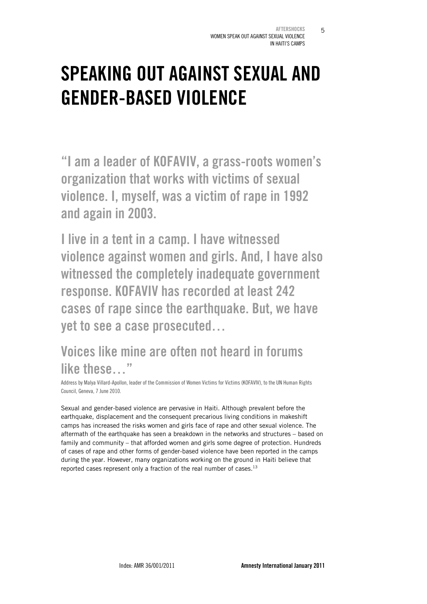5

# SPEAKING OUT AGAINST SEXUAL AND GENDER-BASED VIOLENCE

"I am a leader of KOFAVIV, a grass-roots women's organization that works with victims of sexual violence. I, myself, was a victim of rape in 1992 and again in 2003.

I live in a tent in a camp. I have witnessed violence against women and girls. And, I have also witnessed the completely inadequate government response. KOFAVIV has recorded at least 242 cases of rape since the earthquake. But, we have yet to see a case prosecuted…

# Voices like mine are often not heard in forums like these…"

Address by Malya Villard-Apollon, leader of the Commission of Women Victims for Victims (KOFAVIV), to the UN Human Rights Council, Geneva, 7 June 2010.

Sexual and gender-based violence are pervasive in Haiti. Although prevalent before the earthquake, displacement and the consequent precarious living conditions in makeshift camps has increased the risks women and girls face of rape and other sexual violence. The aftermath of the earthquake has seen a breakdown in the networks and structures – based on family and community – that afforded women and girls some degree of protection. Hundreds of cases of rape and other forms of gender-based violence have been reported in the camps during the year. However, many organizations working on the ground in Haiti believe that reported cases represent only a fraction of the real number of cases.<sup>13</sup>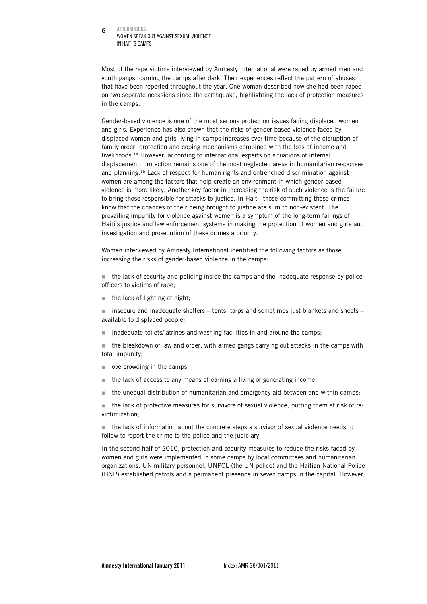#### AFTERSHOCKS WOMEN SPEAK OUT AGAINST SEXUAL VIOLENCE IN HAITI'S CAMPS 6

Most of the rape victims interviewed by Amnesty International were raped by armed men and youth gangs roaming the camps after dark. Their experiences reflect the pattern of abuses that have been reported throughout the year. One woman described how she had been raped on two separate occasions since the earthquake, highlighting the lack of protection measures in the camps.

Gender-based violence is one of the most serious protection issues facing displaced women and girls. Experience has also shown that the risks of gender-based violence faced by displaced women and girls living in camps increases over time because of the disruption of family order, protection and coping mechanisms combined with the loss of income and livelihoods.14 However, according to international experts on situations of internal displacement, protection remains one of the most neglected areas in humanitarian responses and planning.15 Lack of respect for human rights and entrenched discrimination against women are among the factors that help create an environment in which gender-based violence is more likely. Another key factor in increasing the risk of such violence is the failure to bring those responsible for attacks to justice. In Haiti, those committing these crimes know that the chances of their being brought to justice are slim to non-existent. The prevailing impunity for violence against women is a symptom of the long-term failings of Haiti's justice and law enforcement systems in making the protection of women and girls and investigation and prosecution of these crimes a priority.

Women interviewed by Amnesty International identified the following factors as those increasing the risks of gender-based violence in the camps:

 $\blacksquare$  the lack of security and policing inside the camps and the inadequate response by police officers to victims of rape;

 $\blacksquare$  the lack of lighting at night:

insecure and inadequate shelters – tents, tarps and sometimes just blankets and sheets – available to displaced people;

■ inadequate toilets/latrines and washing facilities in and around the camps:

 $\blacksquare$  the breakdown of law and order, with armed gangs carrying out attacks in the camps with total impunity;

- overcrowding in the camps:
- $\blacksquare$  the lack of access to any means of earning a living or generating income;
- $\blacksquare$  the unequal distribution of humanitarian and emergency aid between and within camps:

 $\blacksquare$  the lack of protective measures for survivors of sexual violence, putting them at risk of revictimization;

 $\blacksquare$  the lack of information about the concrete steps a survivor of sexual violence needs to follow to report the crime to the police and the judiciary.

In the second half of 2010, protection and security measures to reduce the risks faced by women and girls were implemented in some camps by local committees and humanitarian organizations. UN military personnel, UNPOL (the UN police) and the Haitian National Police (HNP) established patrols and a permanent presence in seven camps in the capital. However,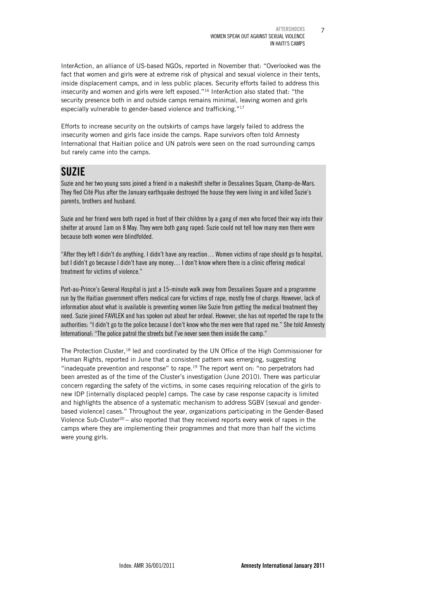7

InterAction, an alliance of US-based NGOs, reported in November that: "Overlooked was the fact that women and girls were at extreme risk of physical and sexual violence in their tents, inside displacement camps, and in less public places. Security efforts failed to address this insecurity and women and girls were left exposed."16 InterAction also stated that: "the security presence both in and outside camps remains minimal, leaving women and girls especially vulnerable to gender-based violence and trafficking."17

Efforts to increase security on the outskirts of camps have largely failed to address the insecurity women and girls face inside the camps. Rape survivors often told Amnesty International that Haitian police and UN patrols were seen on the road surrounding camps but rarely came into the camps.

# SUZIE

Suzie and her two young sons joined a friend in a makeshift shelter in Dessalines Square, Champ-de-Mars. They fled Cité Plus after the January earthquake destroyed the house they were living in and killed Suzie's parents, brothers and husband.

Suzie and her friend were both raped in front of their children by a gang of men who forced their way into their shelter at around 1am on 8 May. They were both gang raped: Suzie could not tell how many men there were because both women were blindfolded.

"After they left I didn't do anything. I didn't have any reaction… Women victims of rape should go to hospital, but I didn't go because I didn't have any money… I don't know where there is a clinic offering medical treatment for victims of violence."

Port-au-Prince's General Hospital is just a 15-minute walk away from Dessalines Square and a programme run by the Haitian government offers medical care for victims of rape, mostly free of charge. However, lack of information about what is available is preventing women like Suzie from getting the medical treatment they need. Suzie joined FAVILEK and has spoken out about her ordeal. However, she has not reported the rape to the authorities: "I didn't go to the police because I don't know who the men were that raped me." She told Amnesty International: "The police patrol the streets but I've never seen them inside the camp."

The Protection Cluster,<sup>18</sup> led and coordinated by the UN Office of the High Commissioner for Human Rights, reported in June that a consistent pattern was emerging, suggesting "inadequate prevention and response" to rape.<sup>19</sup> The report went on: "no perpetrators had been arrested as of the time of the Cluster's investigation (June 2010). There was particular concern regarding the safety of the victims, in some cases requiring relocation of the girls to new IDP [internally displaced people] camps. The case by case response capacity is limited and highlights the absence of a systematic mechanism to address SGBV [sexual and genderbased violence] cases." Throughout the year, organizations participating in the Gender-Based Violence Sub-Cluster<sup>20</sup> – also reported that they received reports every week of rapes in the camps where they are implementing their programmes and that more than half the victims were young girls.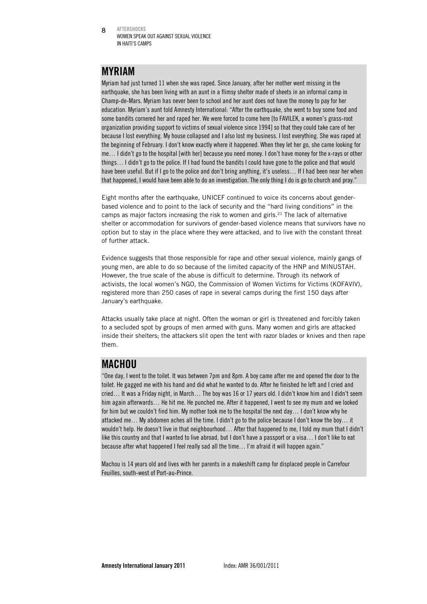AFTERSHOCKS WOMEN SPEAK OUT AGAINST SEXUAL VIOLENCE IN HAITI'S CAMPS 8

### MYRIAM

Myriam had just turned 11 when she was raped. Since January, after her mother went missing in the earthquake, she has been living with an aunt in a flimsy shelter made of sheets in an informal camp in Champ-de-Mars. Myriam has never been to school and her aunt does not have the money to pay for her education. Myriam's aunt told Amnesty International: "After the earthquake, she went to buy some food and some bandits cornered her and raped her. We were forced to come here [to FAVILEK, a women's grass-root organization providing support to victims of sexual violence since 1994] so that they could take care of her because I lost everything. My house collapsed and I also lost my business. I lost everything. She was raped at the beginning of February. I don't know exactly where it happened. When they let her go, she came looking for me… I didn't go to the hospital [with her] because you need money. I don't have money for the x-rays or other things… I didn't go to the police. If I had found the bandits I could have gone to the police and that would have been useful. But if I go to the police and don't bring anything, it's useless… If I had been near her when that happened, I would have been able to do an investigation. The only thing I do is go to church and pray."

Eight months after the earthquake, UNICEF continued to voice its concerns about genderbased violence and to point to the lack of security and the "hard living conditions" in the camps as major factors increasing the risk to women and girls.<sup>21</sup> The lack of alternative shelter or accommodation for survivors of gender-based violence means that survivors have no option but to stay in the place where they were attacked, and to live with the constant threat of further attack.

Evidence suggests that those responsible for rape and other sexual violence, mainly gangs of young men, are able to do so because of the limited capacity of the HNP and MINUSTAH. However, the true scale of the abuse is difficult to determine. Through its network of activists, the local women's NGO, the Commission of Women Victims for Victims (KOFAVIV), registered more than 250 cases of rape in several camps during the first 150 days after January's earthquake.

Attacks usually take place at night. Often the woman or girl is threatened and forcibly taken to a secluded spot by groups of men armed with guns. Many women and girls are attacked inside their shelters; the attackers slit open the tent with razor blades or knives and then rape them.

# **MACHOU**

"One day, I went to the toilet. It was between 7pm and 8pm. A boy came after me and opened the door to the toilet. He gagged me with his hand and did what he wanted to do. After he finished he left and I cried and cried… It was a Friday night, in March… The boy was 16 or 17 years old. I didn't know him and I didn't seem him again afterwards… He hit me. He punched me. After it happened, I went to see my mum and we looked for him but we couldn't find him. My mother took me to the hospital the next day… I don't know why he attacked me… My abdomen aches all the time. I didn't go to the police because I don't know the boy… it wouldn't help. He doesn't live in that neighbourhood… After that happened to me, I told my mum that I didn't like this country and that I wanted to live abroad, but I don't have a passport or a visa… I don't like to eat because after what happened I feel really sad all the time… I'm afraid it will happen again."

Machou is 14 years old and lives with her parents in a makeshift camp for displaced people in Carrefour Feuilles, south-west of Port-au-Prince.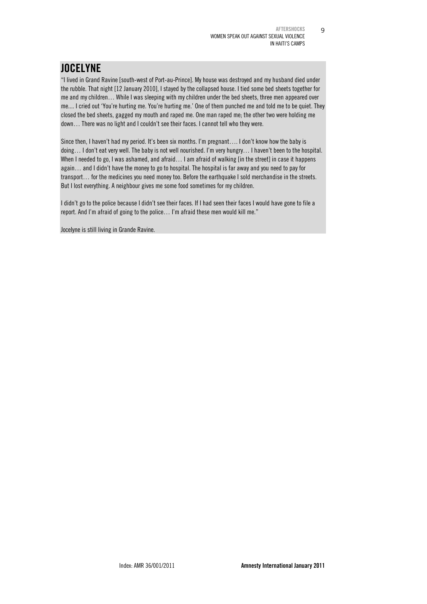9

# **JOCELYNE**

"I lived in Grand Ravine [south-west of Port-au-Prince]. My house was destroyed and my husband died under the rubble. That night [12 January 2010], I stayed by the collapsed house. I tied some bed sheets together for me and my children… While I was sleeping with my children under the bed sheets, three men appeared over me.... I cried out 'You're hurting me. You're hurting me.' One of them punched me and told me to be quiet. They closed the bed sheets, gagged my mouth and raped me. One man raped me; the other two were holding me down… There was no light and I couldn't see their faces. I cannot tell who they were.

Since then, I haven't had my period. It's been six months. I'm pregnant…. I don't know how the baby is doing… I don't eat very well. The baby is not well nourished. I'm very hungry… I haven't been to the hospital. When I needed to go, I was ashamed, and afraid... I am afraid of walking [in the street] in case it happens again… and I didn't have the money to go to hospital. The hospital is far away and you need to pay for transport… for the medicines you need money too. Before the earthquake I sold merchandise in the streets. But I lost everything. A neighbour gives me some food sometimes for my children.

I didn't go to the police because I didn't see their faces. If I had seen their faces I would have gone to file a report. And I'm afraid of going to the police… I'm afraid these men would kill me."

Jocelyne is still living in Grande Ravine.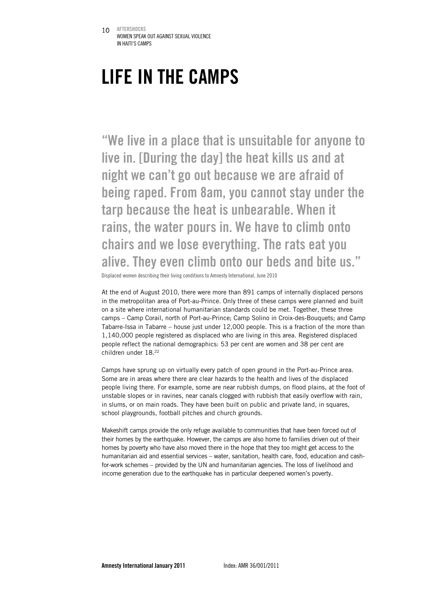# LIFE IN THE CAMPS

"We live in a place that is unsuitable for anyone to live in. [During the day] the heat kills us and at night we can't go out because we are afraid of being raped. From 8am, you cannot stay under the tarp because the heat is unbearable. When it rains, the water pours in. We have to climb onto chairs and we lose everything. The rats eat you alive. They even climb onto our beds and bite us."

Displaced women describing their living conditions to Amnesty International, June 2010

At the end of August 2010, there were more than 891 camps of internally displaced persons in the metropolitan area of Port-au-Prince. Only three of these camps were planned and built on a site where international humanitarian standards could be met. Together, these three camps – Camp Corail, north of Port-au-Prince; Camp Solino in Croix-des-Bouquets; and Camp Tabarre-Issa in Tabarre – house just under 12,000 people. This is a fraction of the more than 1,140,000 people registered as displaced who are living in this area. Registered displaced people reflect the national demographics: 53 per cent are women and 38 per cent are children under 18.22

Camps have sprung up on virtually every patch of open ground in the Port-au-Prince area. Some are in areas where there are clear hazards to the health and lives of the displaced people living there. For example, some are near rubbish dumps, on flood plains, at the foot of unstable slopes or in ravines, near canals clogged with rubbish that easily overflow with rain, in slums, or on main roads. They have been built on public and private land, in squares, school playgrounds, football pitches and church grounds.

Makeshift camps provide the only refuge available to communities that have been forced out of their homes by the earthquake. However, the camps are also home to families driven out of their homes by poverty who have also moved there in the hope that they too might get access to the humanitarian aid and essential services – water, sanitation, health care, food, education and cashfor-work schemes – provided by the UN and humanitarian agencies. The loss of livelihood and income generation due to the earthquake has in particular deepened women's poverty.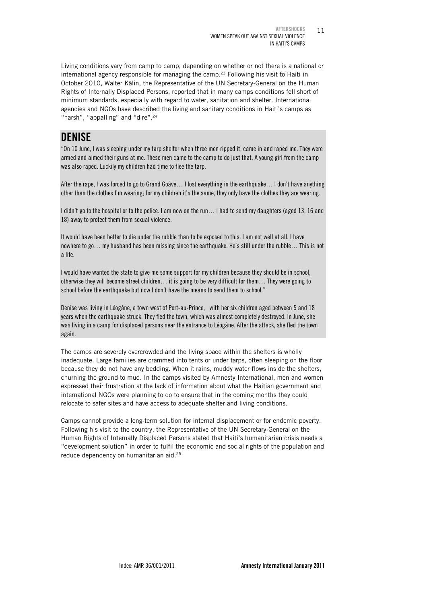Living conditions vary from camp to camp, depending on whether or not there is a national or international agency responsible for managing the camp.<sup>23</sup> Following his visit to Haiti in October 2010, Walter Kälin, the Representative of the UN Secretary-General on the Human Rights of Internally Displaced Persons, reported that in many camps conditions fell short of minimum standards, especially with regard to water, sanitation and shelter. International agencies and NGOs have described the living and sanitary conditions in Haiti's camps as "harsh", "appalling" and "dire".<sup>24</sup>

### **DENISE**

"On 10 June, I was sleeping under my tarp shelter when three men ripped it, came in and raped me. They were armed and aimed their guns at me. These men came to the camp to do just that. A young girl from the camp was also raped. Luckily my children had time to flee the tarp.

After the rape, I was forced to go to Grand Goâve… I lost everything in the earthquake… I don't have anything other than the clothes I'm wearing; for my children it's the same, they only have the clothes they are wearing.

I didn't go to the hospital or to the police. I am now on the run… I had to send my daughters (aged 13, 16 and 18) away to protect them from sexual violence.

It would have been better to die under the rubble than to be exposed to this. I am not well at all. I have nowhere to go… my husband has been missing since the earthquake. He's still under the rubble… This is not a life.

I would have wanted the state to give me some support for my children because they should be in school, otherwise they will become street children… it is going to be very difficult for them… They were going to school before the earthquake but now I don't have the means to send them to school."

Denise was living in Léogâne, a town west of Port-au-Prince, with her six children aged between 5 and 18 years when the earthquake struck. They fled the town, which was almost completely destroyed. In June, she was living in a camp for displaced persons near the entrance to Léogâne. After the attack, she fled the town again.

The camps are severely overcrowded and the living space within the shelters is wholly inadequate. Large families are crammed into tents or under tarps, often sleeping on the floor because they do not have any bedding. When it rains, muddy water flows inside the shelters, churning the ground to mud. In the camps visited by Amnesty International, men and women expressed their frustration at the lack of information about what the Haitian government and international NGOs were planning to do to ensure that in the coming months they could relocate to safer sites and have access to adequate shelter and living conditions.

Camps cannot provide a long-term solution for internal displacement or for endemic poverty. Following his visit to the country, the Representative of the UN Secretary-General on the Human Rights of Internally Displaced Persons stated that Haiti's humanitarian crisis needs a "development solution" in order to fulfil the economic and social rights of the population and reduce dependency on humanitarian aid.25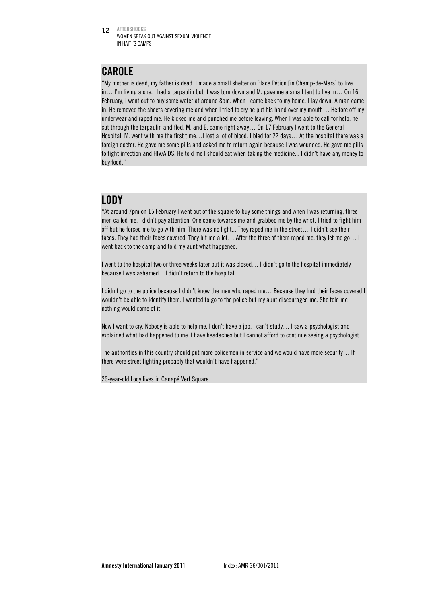12 AFTERSHOCKS WOMEN SPEAK OUT AGAINST SEXUAL VIOLENCE IN HAITI'S CAMPS

# CAROLE

"My mother is dead, my father is dead. I made a small shelter on Place Pétion [in Champ-de-Mars] to live in… I'm living alone. I had a tarpaulin but it was torn down and M. gave me a small tent to live in… On 16 February, I went out to buy some water at around 8pm. When I came back to my home, I lay down. A man came in. He removed the sheets covering me and when I tried to cry he put his hand over my mouth… He tore off my underwear and raped me. He kicked me and punched me before leaving. When I was able to call for help, he cut through the tarpaulin and fled. M. and E. came right away… On 17 February I went to the General Hospital. M. went with me the first time…I lost a lot of blood. I bled for 22 days… At the hospital there was a foreign doctor. He gave me some pills and asked me to return again because I was wounded. He gave me pills to fight infection and HIV/AIDS. He told me I should eat when taking the medicine... I didn't have any money to buy food."

### LODY

"At around 7pm on 15 February I went out of the square to buy some things and when I was returning, three men called me. I didn't pay attention. One came towards me and grabbed me by the wrist. I tried to fight him off but he forced me to go with him. There was no light... They raped me in the street… I didn't see their faces. They had their faces covered. They hit me a lot… After the three of them raped me, they let me go… I went back to the camp and told my aunt what happened.

I went to the hospital two or three weeks later but it was closed… I didn't go to the hospital immediately because I was ashamed…I didn't return to the hospital.

I didn't go to the police because I didn't know the men who raped me… Because they had their faces covered I wouldn't be able to identify them. I wanted to go to the police but my aunt discouraged me. She told me nothing would come of it.

Now I want to cry. Nobody is able to help me. I don't have a job. I can't study… I saw a psychologist and explained what had happened to me. I have headaches but I cannot afford to continue seeing a psychologist.

The authorities in this country should put more policemen in service and we would have more security… If there were street lighting probably that wouldn't have happened."

26-year-old Lody lives in Canapé Vert Square.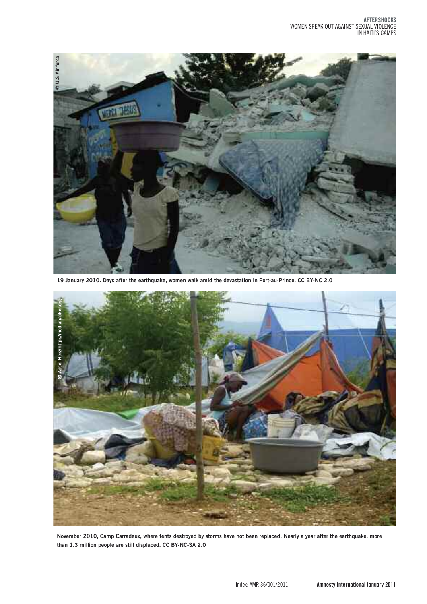

19 January 2010. Days after the earthquake, women walk amid the devastation in Port-au-Prince. CC BY-NC 2.0



November 2010, Camp Carradeux, where tents destroyed by storms have not been replaced. Nearly a year after the earthquake, more **than 1.3 million people are still displaced. CC BY-NC-SA 2.0**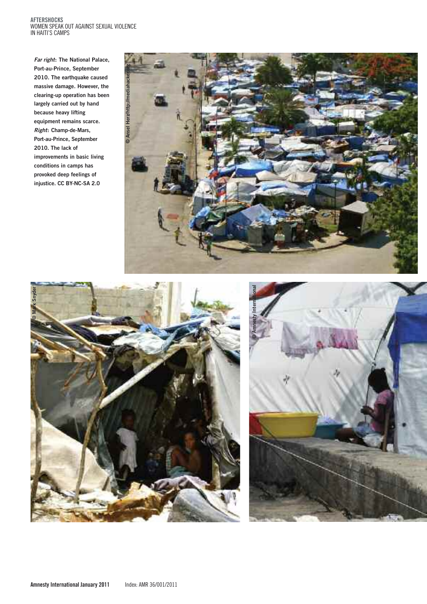#### **Aftershocks** woMen speAk out AgAInst sexuAl vIolence IN HAITI'S CAMPS

**Far right: The National Palace, Port-au-Prince, September 2010. The earthquake caused massive damage. However, the clearing-up operation has been largely carried out by hand because heavy lifting equipment remains scarce. Right: Champ-de-Mars, Port-au-Prince, September 2010. The lack of improvements in basic living conditions in camps has provoked deep feelings of injustice. CC BY-NC-SA 2.0**





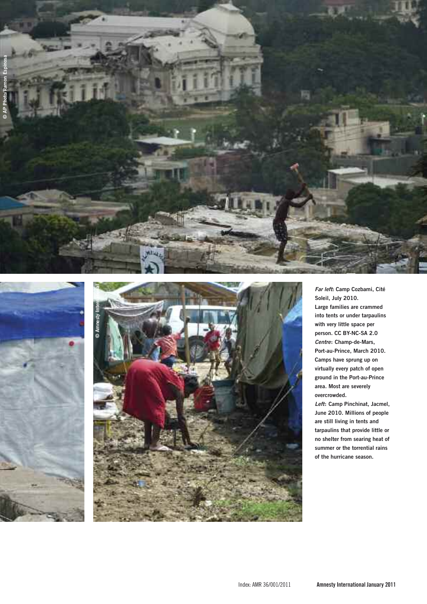





**Far left: Camp Cozbami, Cité** Soleil, July 2010. Large families are crammed into tents or under tarpaulins with very little space per **person. CC BY-NC-SA 2.0** Centre: Champ-de-Mars, Port-au-Prince, March 2010. **camps have sprung up on** virtually every patch of open ground in the Port-au-Prince area. Most are severely  $\alpha$  **overcrowded.** 

Left: Camp Pinchinat, Jacmel, June 2010. Millions of people are still living in tents and tarpaulins that provide little or no shelter from searing heat of summer or the torrential rains of the hurricane season.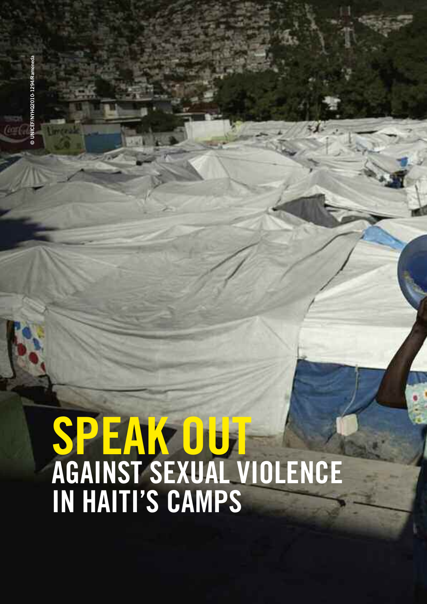© UNICEF/NYHQ2010-1294/R **UNICEF/NYHQ2010-1294/Ramoneda**

# **speak out agaInst sexual vIolence In haItI's camps**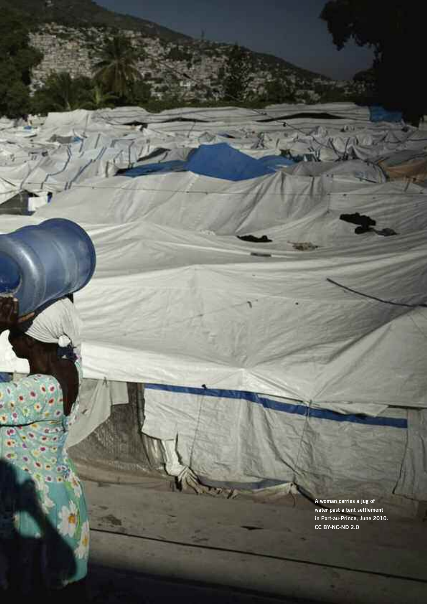**A woman carries a jug of water past a tent settlement in Port-au-Prince, June 2010. CC BY-NC-ND 2.0**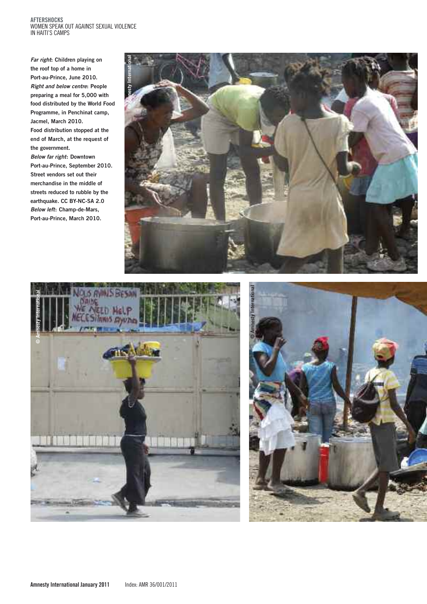#### **aftershocks** women speak out against sexual violence in haiti's camps

**Far right: Children playing on the roof top of a home in Port-au-Prince, June 2010. Right and below centre: People preparing a meal for 5,000 with food distributed by the World Food Programme, in Penchinat camp, Jacmel, March 2010. Food distribution stopped at the end of March, at the request of the government. Below far right: Downtown Port-au-Prince, September 2010. Street vendors set out their merchandise in the middle of streets reduced to rubble by the earthquake. CC BY-NC-SA 2.0 Below left: Champ-de-Mars, Port-au-Prince, March 2010.**





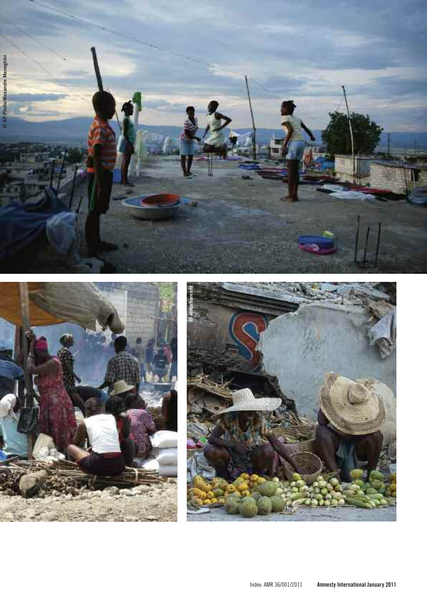



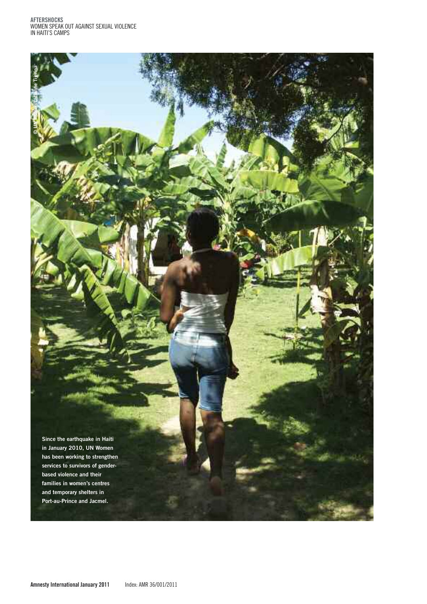**aftershocks** women speak out against sexual violence IN HAITI'S CAMPS

فاجه

**©**

**UN Women/Catianne Tijerina**

**Since the earthquake in Haiti in January 2010, UN Women has been working to strengthen services to survivors of genderbased violence and their families in women's centres and temporary shelters in Port-au-Prince and Jacmel.**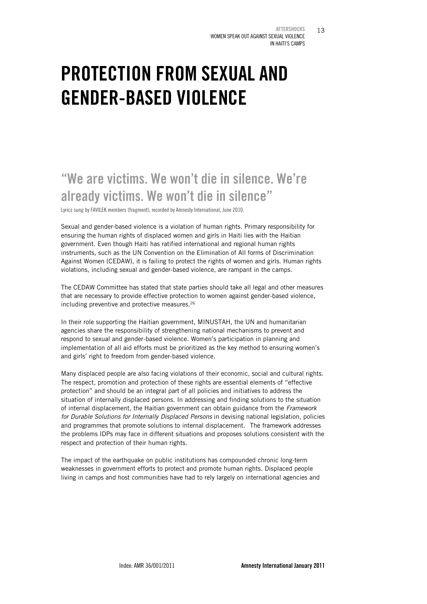13

# PROTECTION FROM SEXUAL AND GENDER-BASED VIOLENCE

# "We are victims. We won't die in silence. We're already victims. We won't die in silence"

Lyrics sung by FAVILEK members (fragment), recorded by Amnesty International, June 2010.

Sexual and gender-based violence is a violation of human rights. Primary responsibility for ensuring the human rights of displaced women and girls in Haiti lies with the Haitian government. Even though Haiti has ratified international and regional human rights instruments, such as the UN Convention on the Elimination of All forms of Discrimination Against Women (CEDAW), it is failing to protect the rights of women and girls. Human rights violations, including sexual and gender-based violence, are rampant in the camps.

The CEDAW Committee has stated that state parties should take all legal and other measures that are necessary to provide effective protection to women against gender-based violence, including preventive and protective measures.26

In their role supporting the Haitian government, MINUSTAH, the UN and humanitarian agencies share the responsibility of strengthening national mechanisms to prevent and respond to sexual and gender-based violence. Women's participation in planning and implementation of all aid efforts must be prioritized as the key method to ensuring women's and girls' right to freedom from gender-based violence.

Many displaced people are also facing violations of their economic, social and cultural rights. The respect, promotion and protection of these rights are essential elements of "effective protection" and should be an integral part of all policies and initiatives to address the situation of internally displaced persons. In addressing and finding solutions to the situation of internal displacement, the Haitian government can obtain guidance from the *Framework for Durable Solutions for Internally Displaced Persons* in devising national legislation, policies and programmes that promote solutions to internal displacement. The framework addresses the problems IDPs may face in different situations and proposes solutions consistent with the respect and protection of their human rights.

The impact of the earthquake on public institutions has compounded chronic long-term weaknesses in government efforts to protect and promote human rights. Displaced people living in camps and host communities have had to rely largely on international agencies and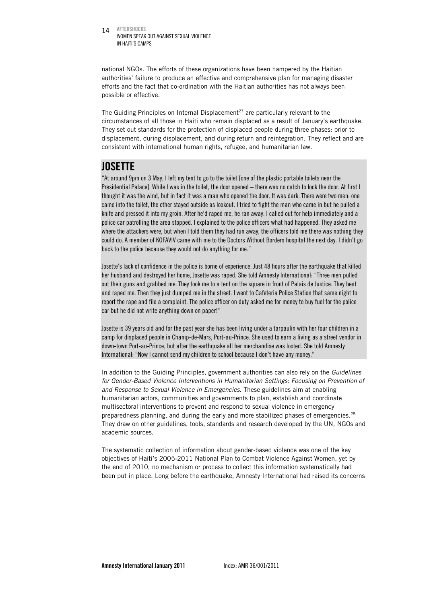14 AFTERSHOCKS WOMEN SPEAK OUT AGAINST SEXUAL VIOLENCE IN HAITI'S CAMPS

national NGOs. The efforts of these organizations have been hampered by the Haitian authorities' failure to produce an effective and comprehensive plan for managing disaster efforts and the fact that co-ordination with the Haitian authorities has not always been possible or effective.

The Guiding Principles on Internal Displacement<sup>27</sup> are particularly relevant to the circumstances of all those in Haiti who remain displaced as a result of January's earthquake. They set out standards for the protection of displaced people during three phases: prior to displacement, during displacement, and during return and reintegration. They reflect and are consistent with international human rights, refugee, and humanitarian law.

# **JOSETTE**

"At around 9pm on 3 May, I left my tent to go to the toilet [one of the plastic portable toilets near the Presidential Palace]. While I was in the toilet, the door opened – there was no catch to lock the door. At first I thought it was the wind, but in fact it was a man who opened the door. It was dark. There were two men: one came into the toilet, the other stayed outside as lookout. I tried to fight the man who came in but he pulled a knife and pressed it into my groin. After he'd raped me, he ran away. I called out for help immediately and a police car patrolling the area stopped. I explained to the police officers what had happened. They asked me where the attackers were, but when I told them they had run away, the officers told me there was nothing they could do. A member of KOFAVIV came with me to the Doctors Without Borders hospital the next day. I didn't go back to the police because they would not do anything for me."

Josette's lack of confidence in the police is borne of experience. Just 48 hours after the earthquake that killed her husband and destroyed her home, Josette was raped. She told Amnesty International: "Three men pulled out their guns and grabbed me. They took me to a tent on the square in front of Palais de Justice. They beat and raped me. Then they just dumped me in the street. I went to Cafeteria Police Station that same night to report the rape and file a complaint. The police officer on duty asked me for money to buy fuel for the police car but he did not write anything down on paper!"

Josette is 39 years old and for the past year she has been living under a tarpaulin with her four children in a camp for displaced people in Champ-de-Mars, Port-au-Prince. She used to earn a living as a street vendor in down-town Port-au-Prince, but after the earthquake all her merchandise was looted. She told Amnesty International: "Now I cannot send my children to school because I don't have any money."

In addition to the Guiding Principles, government authorities can also rely on the *Guidelines*  for Gender-Based Violence Interventions in Humanitarian Settings: Focusing on Prevention of *and Response to Sexual Violence in Emergencies.* These guidelines aim at enabling humanitarian actors, communities and governments to plan, establish and coordinate multisectoral interventions to prevent and respond to sexual violence in emergency preparedness planning, and during the early and more stabilized phases of emergencies.28 They draw on other guidelines, tools, standards and research developed by the UN, NGOs and academic sources.

The systematic collection of information about gender-based violence was one of the key objectives of Haiti's 2005-2011 National Plan to Combat Violence Against Women, yet by the end of 2010, no mechanism or process to collect this information systematically had been put in place. Long before the earthquake, Amnesty International had raised its concerns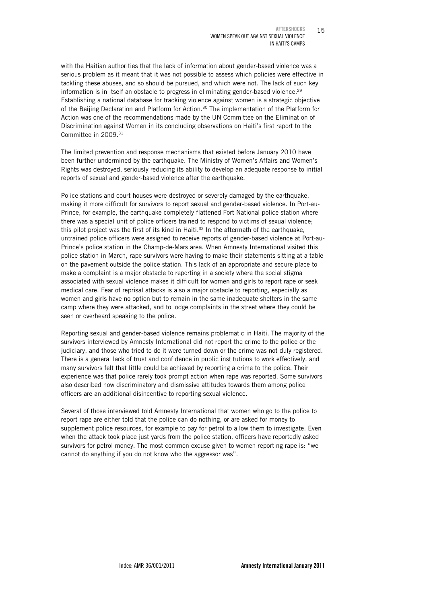with the Haitian authorities that the lack of information about gender-based violence was a serious problem as it meant that it was not possible to assess which policies were effective in tackling these abuses, and so should be pursued, and which were not. The lack of such key information is in itself an obstacle to progress in eliminating gender-based violence.<sup>29</sup> Establishing a national database for tracking violence against women is a strategic objective of the Beijing Declaration and Platform for Action.30 The implementation of the Platform for Action was one of the recommendations made by the UN Committee on the Elimination of Discrimination against Women in its concluding observations on Haiti's first report to the Committee in 2009.31

The limited prevention and response mechanisms that existed before January 2010 have been further undermined by the earthquake. The Ministry of Women's Affairs and Women's Rights was destroyed, seriously reducing its ability to develop an adequate response to initial reports of sexual and gender-based violence after the earthquake.

Police stations and court houses were destroyed or severely damaged by the earthquake, making it more difficult for survivors to report sexual and gender-based violence. In Port-au-Prince, for example, the earthquake completely flattened Fort National police station where there was a special unit of police officers trained to respond to victims of sexual violence; this pilot project was the first of its kind in Haiti.<sup>32</sup> In the aftermath of the earthquake, untrained police officers were assigned to receive reports of gender-based violence at Port-au-Prince's police station in the Champ-de-Mars area. When Amnesty International visited this police station in March, rape survivors were having to make their statements sitting at a table on the pavement outside the police station. This lack of an appropriate and secure place to make a complaint is a major obstacle to reporting in a society where the social stigma associated with sexual violence makes it difficult for women and girls to report rape or seek medical care. Fear of reprisal attacks is also a major obstacle to reporting, especially as women and girls have no option but to remain in the same inadequate shelters in the same camp where they were attacked, and to lodge complaints in the street where they could be seen or overheard speaking to the police.

Reporting sexual and gender-based violence remains problematic in Haiti. The majority of the survivors interviewed by Amnesty International did not report the crime to the police or the judiciary, and those who tried to do it were turned down or the crime was not duly registered. There is a general lack of trust and confidence in public institutions to work effectively, and many survivors felt that little could be achieved by reporting a crime to the police. Their experience was that police rarely took prompt action when rape was reported. Some survivors also described how discriminatory and dismissive attitudes towards them among police officers are an additional disincentive to reporting sexual violence.

Several of those interviewed told Amnesty International that women who go to the police to report rape are either told that the police can do nothing, or are asked for money to supplement police resources, for example to pay for petrol to allow them to investigate. Even when the attack took place just yards from the police station, officers have reportedly asked survivors for petrol money. The most common excuse given to women reporting rape is: "we cannot do anything if you do not know who the aggressor was".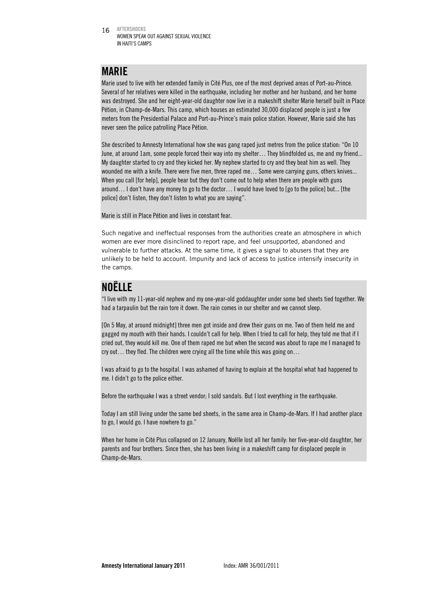16 AFTERSHOCKS WOMEN SPEAK OUT AGAINST SEXUAL VIOLENCE IN HAITI'S CAMPS

## MARIE

Marie used to live with her extended family in Cité Plus, one of the most deprived areas of Port-au-Prince. Several of her relatives were killed in the earthquake, including her mother and her husband, and her home was destroyed. She and her eight-year-old daughter now live in a makeshift shelter Marie herself built in Place Pétion, in Champ-de-Mars. This camp, which houses an estimated 30,000 displaced people is just a few meters from the Presidential Palace and Port-au-Prince's main police station. However, Marie said she has never seen the police patrolling Place Pétion.

She described to Amnesty International how she was gang raped just metres from the police station: "On 10 June, at around 1am, some people forced their way into my shelter… They blindfolded us, me and my friend... My daughter started to cry and they kicked her. My nephew started to cry and they beat him as well. They wounded me with a knife. There were five men, three raped me… Some were carrying guns, others knives... When you call [for help], people hear but they don't come out to help when there are people with guns around… I don't have any money to go to the doctor… I would have loved to [go to the police] but... [the police] don't listen, they don't listen to what you are saying".

Marie is still in Place Pétion and lives in constant fear.

Such negative and ineffectual responses from the authorities create an atmosphere in which women are ever more disinclined to report rape, and feel unsupported, abandoned and vulnerable to further attacks. At the same time, it gives a signal to abusers that they are unlikely to be held to account. Impunity and lack of access to justice intensify insecurity in the camps.

# NOËLLE

"I live with my 11-year-old nephew and my one-year-old goddaughter under some bed sheets tied together. We had a tarpaulin but the rain tore it down. The rain comes in our shelter and we cannot sleep.

[On 5 May, at around midnight] three men got inside and drew their guns on me. Two of them held me and gagged my mouth with their hands. I couldn't call for help. When I tried to call for help, they told me that if I cried out, they would kill me. One of them raped me but when the second was about to rape me I managed to cry out... they fled. The children were crying all the time while this was going on...

I was afraid to go to the hospital. I was ashamed of having to explain at the hospital what had happened to me. I didn't go to the police either.

Before the earthquake I was a street vendor; I sold sandals. But I lost everything in the earthquake.

Today I am still living under the same bed sheets, in the same area in Champ-de-Mars. If I had another place to go, I would go. I have nowhere to go."

When her home in Cité Plus collapsed on 12 January, Noëlle lost all her family: her five-year-old daughter, her parents and four brothers. Since then, she has been living in a makeshift camp for displaced people in Champ-de-Mars.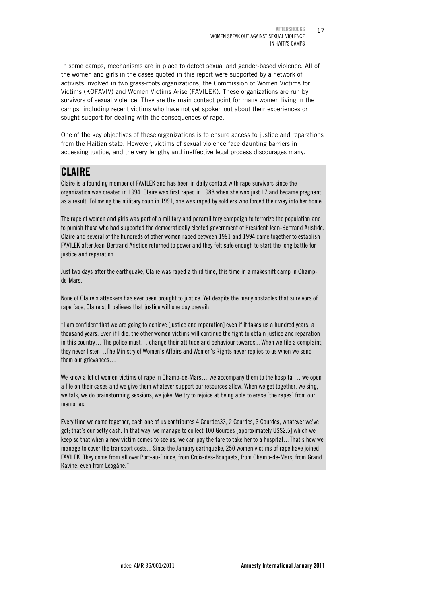In some camps, mechanisms are in place to detect sexual and gender-based violence. All of the women and girls in the cases quoted in this report were supported by a network of activists involved in two grass-roots organizations, the Commission of Women Victims for Victims (KOFAVIV) and Women Victims Arise (FAVILEK). These organizations are run by survivors of sexual violence. They are the main contact point for many women living in the camps, including recent victims who have not yet spoken out about their experiences or sought support for dealing with the consequences of rape.

One of the key objectives of these organizations is to ensure access to justice and reparations from the Haitian state. However, victims of sexual violence face daunting barriers in accessing justice, and the very lengthy and ineffective legal process discourages many.

# CLAIRE

Claire is a founding member of FAVILEK and has been in daily contact with rape survivors since the organization was created in 1994. Claire was first raped in 1988 when she was just 17 and became pregnant as a result. Following the military coup in 1991, she was raped by soldiers who forced their way into her home.

The rape of women and girls was part of a military and paramilitary campaign to terrorize the population and to punish those who had supported the democratically elected government of President Jean-Bertrand Aristide. Claire and several of the hundreds of other women raped between 1991 and 1994 came together to establish FAVILEK after Jean-Bertrand Aristide returned to power and they felt safe enough to start the long battle for justice and reparation.

Just two days after the earthquake, Claire was raped a third time, this time in a makeshift camp in Champde-Mars.

None of Claire's attackers has ever been brought to justice. Yet despite the many obstacles that survivors of rape face, Claire still believes that justice will one day prevail:

"I am confident that we are going to achieve [justice and reparation] even if it takes us a hundred years, a thousand years. Even if I die, the other women victims will continue the fight to obtain justice and reparation in this country… The police must… change their attitude and behaviour towards... When we file a complaint, they never listen…The Ministry of Women's Affairs and Women's Rights never replies to us when we send them our grievances…

We know a lot of women victims of rape in Champ-de-Mars… we accompany them to the hospital… we open a file on their cases and we give them whatever support our resources allow. When we get together, we sing, we talk, we do brainstorming sessions, we joke. We try to rejoice at being able to erase [the rapes] from our memories.

Every time we come together, each one of us contributes 4 Gourdes33, 2 Gourdes, 3 Gourdes, whatever we've got; that's our petty cash. In that way, we manage to collect 100 Gourdes [approximately US\$2.5] which we keep so that when a new victim comes to see us, we can pay the fare to take her to a hospital…That's how we manage to cover the transport costs... Since the January earthquake, 250 women victims of rape have joined FAVILEK. They come from all over Port-au-Prince, from Croix-des-Bouquets, from Champ-de-Mars, from Grand Ravine, even from Léogâne."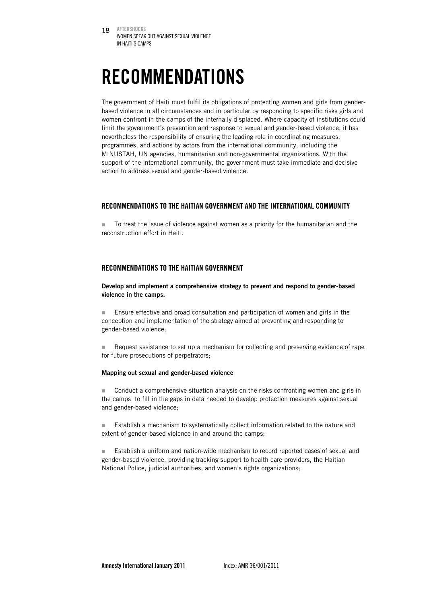# RECOMMENDATIONS

The government of Haiti must fulfil its obligations of protecting women and girls from genderbased violence in all circumstances and in particular by responding to specific risks girls and women confront in the camps of the internally displaced. Where capacity of institutions could limit the government's prevention and response to sexual and gender-based violence, it has nevertheless the responsibility of ensuring the leading role in coordinating measures, programmes, and actions by actors from the international community, including the MINUSTAH, UN agencies, humanitarian and non-governmental organizations. With the support of the international community, the government must take immediate and decisive action to address sexual and gender-based violence.

### RECOMMENDATIONS TO THE HAITIAN GOVERNMENT AND THE INTERNATIONAL COMMUNITY

 To treat the issue of violence against women as a priority for the humanitarian and the reconstruction effort in Haiti.

### RECOMMENDATIONS TO THE HAITIAN GOVERNMENT

Develop and implement a comprehensive strategy to prevent and respond to gender-based violence in the camps.

 Ensure effective and broad consultation and participation of women and girls in the conception and implementation of the strategy aimed at preventing and responding to gender-based violence;

Request assistance to set up a mechanism for collecting and preserving evidence of rape for future prosecutions of perpetrators;

#### Mapping out sexual and gender-based violence

 Conduct a comprehensive situation analysis on the risks confronting women and girls in the camps to fill in the gaps in data needed to develop protection measures against sexual and gender-based violence;

 Establish a mechanism to systematically collect information related to the nature and extent of gender-based violence in and around the camps;

 Establish a uniform and nation-wide mechanism to record reported cases of sexual and gender-based violence, providing tracking support to health care providers, the Haitian National Police, judicial authorities, and women's rights organizations;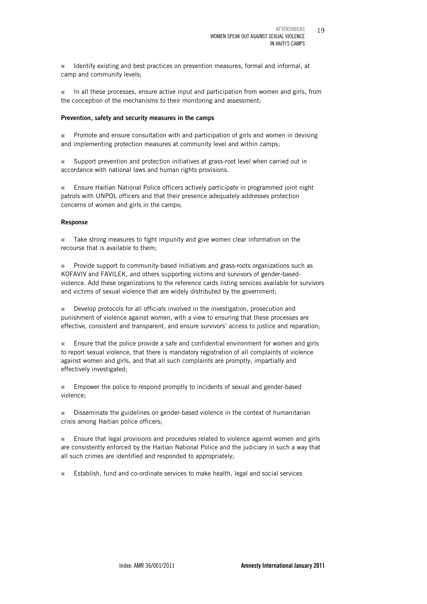I Identify existing and best practices on prevention measures, formal and informal, at camp and community levels;

 In all these processes, ensure active input and participation from women and girls, from the conception of the mechanisms to their monitoring and assessment;

#### Prevention, safety and security measures in the camps

**Promote and ensure consultation with and participation of girls and women in devising** and implementing protection measures at community level and within camps;

 Support prevention and protection initiatives at grass-root level when carried out in accordance with national laws and human rights provisions.

 Ensure Haitian National Police officers actively participate in programmed joint night patrols with UNPOL officers and that their presence adequately addresses protection concerns of women and girls in the camps;

#### Response

Take strong measures to fight impunity and give women clear information on the recourse that is available to them;

 Provide support to community-based initiatives and grass-roots organizations such as KOFAVIV and FAVILEK, and others supporting victims and survivors of gender-basedviolence. Add these organizations to the reference cards listing services available for survivors and victims of sexual violence that are widely distributed by the government;

Develop protocols for all officials involved in the investigation, prosecution and punishment of violence against women, with a view to ensuring that these processes are effective, consistent and transparent, and ensure survivors' access to justice and reparation;

**Ensure that the police provide a safe and confidential environment for women and girls** to report sexual violence, that there is mandatory registration of all complaints of violence against women and girls, and that all such complaints are promptly, impartially and effectively investigated;

 Empower the police to respond promptly to incidents of sexual and gender-based violence;

**Disseminate the guidelines on gender-based violence in the context of humanitarian** crisis among Haitian police officers;

**Ensure that legal provisions and procedures related to violence against women and girls** are consistently enforced by the Haitian National Police and the judiciary in such a way that all such crimes are identified and responded to appropriately;

Establish, fund and co-ordinate services to make health, legal and social services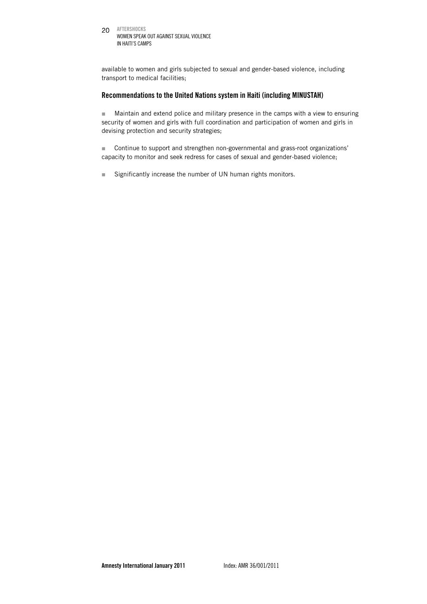20 AFTERSHOCKS WOMEN SPEAK OUT AGAINST SEXUAL VIOLENCE IN HAITI'S CAMPS

available to women and girls subjected to sexual and gender-based violence, including transport to medical facilities;

### Recommendations to the United Nations system in Haiti (including MINUSTAH)

**Maintain and extend police and military presence in the camps with a view to ensuring** security of women and girls with full coordination and participation of women and girls in devising protection and security strategies;

 Continue to support and strengthen non-governmental and grass-root organizations' capacity to monitor and seek redress for cases of sexual and gender-based violence;

■ Significantly increase the number of UN human rights monitors.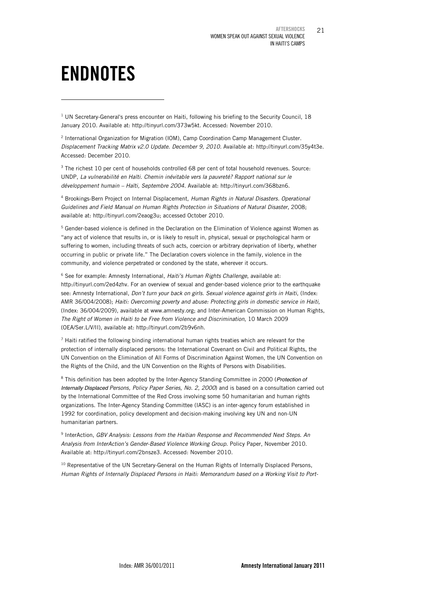# ENDNOTES

1

 $1$  UN Secretary-General's press encounter on Haiti, following his briefing to the Security Council, 18 January 2010. Available at: http://tinyurl.com/373w5kt. Accessed: November 2010.

2 International Organization for Migration (IOM), Camp Coordination Camp Management Cluster. Displacement Tracking Matrix v2.0 Update. December 9, 2010. Available at: http://tinyurl.com/35y4t3e. Accessed: December 2010.

<sup>3</sup> The richest 10 per cent of households controlled 68 per cent of total household revenues. Source: UNDP, *La vulnerabilité en Haïti. Chemin inévitable vers la pauvreté? Rapport national sur le développement humain – Haïti, Septembre 2004*. Available at: http://tinyurl.com/368bzn6.

4 Brookings-Bern Project on Internal Displacement, *Human Rights in Natural Disasters. Operational Guidelines and Field Manual on Human Rights Protection in Situations of Natural Disaster*, 2008; available at: http://tinyurl.com/2eaog3u; accessed October 2010.

<sup>5</sup> Gender-based violence is defined in the Declaration on the Elimination of Violence against Women as "any act of violence that results in, or is likely to result in, physical, sexual or psychological harm or suffering to women, including threats of such acts, coercion or arbitrary deprivation of liberty, whether occurring in public or private life." The Declaration covers violence in the family, violence in the community, and violence perpetrated or condoned by the state, wherever it occurs.

6 See for example: Amnesty International, *Haiti's Human Rights Challenge*, available at: http://tinyurl.com/2ed4zhv. For an overview of sexual and gender-based violence prior to the earthquake see: Amnesty International, *Don't turn your back on girls. Sexual violence against girls in Haiti*, (Index: AMR 36/004/2008); *Haiti: Overcoming poverty and abuse: Protecting girls in domestic service in Haiti,* (Index: 36/004/2009), available at www.amnesty.org; and Inter-American Commission on Human Rights, *The Right of Women in Haiti to be Free from Violence and Discrimination*, 10 March 2009 (OEA/Ser.L/V/II), available at: http://tinyurl.com/2b9v6nh.

 $<sup>7</sup>$  Haiti ratified the following binding international human rights treaties which are relevant for the</sup> protection of internally displaced persons: the International Covenant on Civil and Political Rights, the UN Convention on the Elimination of All Forms of Discrimination Against Women, the UN Convention on the Rights of the Child, and the UN Convention on the Rights of Persons with Disabilities.

8 This definition has been adopted by the Inter-Agency Standing Committee in 2000 (*Protection of Internally Displaced Persons, Policy Paper Series, No. 2, 2000*) and is based on a consultation carried out by the International Committee of the Red Cross involving some 50 humanitarian and human rights organizations. The Inter-Agency Standing Committee (IASC) is an inter-agency forum established in 1992 for coordination, policy development and decision-making involving key UN and non-UN humanitarian partners.

9 InterAction, *GBV Analysis: Lessons from the Haitian Response and Recommended Next Steps*. *An Analysis from InterAction's Gender-Based Violence Working Group*. Policy Paper, November 2010. Available at: http://tinyurl.com/2bnsze3. Accessed: November 2010.

<sup>10</sup> Representative of the UN Secretary-General on the Human Rights of Internally Displaced Persons, *Human Rights of Internally Displaced Persons in Haiti: Memorandum based on a Working Visit to Port-*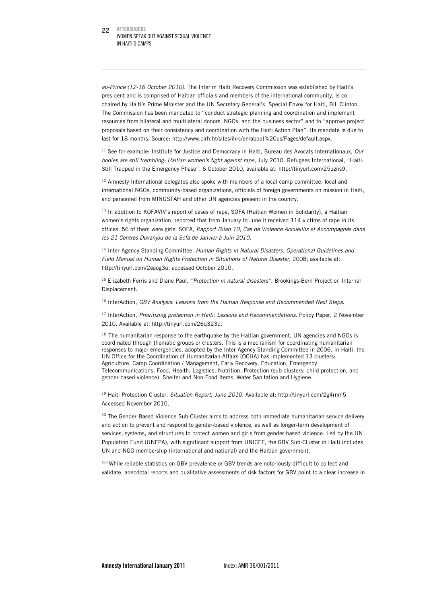-

*au-Prince (12-16 October 2010)*. The Interim Haiti Recovery Commission was established by Haiti's president and is comprised of Haitian officials and members of the international community, is cochaired by Haiti's Prime Minister and the UN Secretary-General's Special Envoy for Haiti, Bill Clinton. The Commission has been mandated to "conduct strategic planning and coordination and implement resources from bilateral and multilateral donors, NGOs, and the business sector" and to "approve project proposals based on their consistency and coordination with the Haiti Action Plan". Its mandate is due to last for 18 months. Source: http://www.cirh.ht/sites/ihrc/en/about%20us/Pages/default.aspx.

11 See for example: Institute for Justice and Democracy in Haiti, Bureau des Avocats Internationaux, *Our bodies are still trembling: Haitian women's fight against rape*, July 2010. Refugees International, "Haiti: Still Trapped in the Emergency Phase", 6 October 2010, available at: http://tinyurl.com/25uzns9.

<sup>12</sup> Amnesty International delegates also spoke with members of a local camp committee, local and international NGOs, community-based organizations, officials of foreign governments on mission in Haiti, and personnel from MINUSTAH and other UN agencies present in the country.

<sup>13</sup> In addition to KOFAVIV's report of cases of rape, SOFA (Haitian Women in Solidarity), a Haitian women's rights organization, reported that from January to June it received 114 victims of rape in its offices; 56 of them were girls. SOFA*, Rapport Bilan 10, Cas de Violence Accueillis et Accompagnés dans les 21 Centres Duvanjou de la Sofa de Janvier à Juin 2010.* 

14 Inter-Agency Standing Committee, *Human Rights in Natural Disasters. Operational Guidelines and Field Manual on Human Rights Protection in Situations of Natural Disaster*, 2008; available at: http://tinyurl.com/2eaog3u; accessed October 2010.

15 Elizabeth Ferris and Diane Paul, *"Protection in natural disasters"*, Brookings-Bern Project on Internal Displacement.

16 InterAction, *GBV Analysis: Lessons from the Haitian Response and Recommended Next Steps*.

<sup>17</sup> InterAction, *Prioritizing protection in Haiti: Lessons and Recommendations. Policy Paper, 2 November* 2010. Available at: http://tinyurl.com/26q323p.

<sup>18</sup> The humanitarian response to the earthquake by the Haitian government, UN agencies and NGOs is coordinated through thematic groups or clusters. This is a mechanism for coordinating humanitarian responses to major emergencies, adopted by the Inter-Agency Standing Committee in 2006. In Haiti, the UN Office for the Coordination of Humanitarian Affairs (OCHA) has implemented 13 clusters: Agriculture, Camp Coordination / Management, Early Recovery, Education, Emergency Telecommunications, Food, Health, Logistics, Nutrition, Protection (sub-clusters: child protection, and gender-based violence), Shelter and Non-Food Items, Water Sanitation and Hygiene.

19 Haiti Protection Cluster. *Situation Report, June 2010.* Available at: http://tinyurl.com/2g4rnm5. Accessed November 2010.

<sup>20</sup> The Gender-Based Violence Sub-Cluster aims to address both immediate humanitarian service delivery and action to prevent and respond to gender-based violence, as well as longer-term development of services, systems, and structures to protect women and girls from gender-based violence. Led by the UN Population Fund (UNFPA), with significant support from UNICEF, the GBV Sub-Cluster in Haiti includes UN and NGO membership (international and national) and the Haitian government.

<sup>21</sup>"While reliable statistics on GBV prevalence or GBV trends are notoriously difficult to collect and validate, anecdotal reports and qualitative assessments of risk factors for GBV point to a clear increase in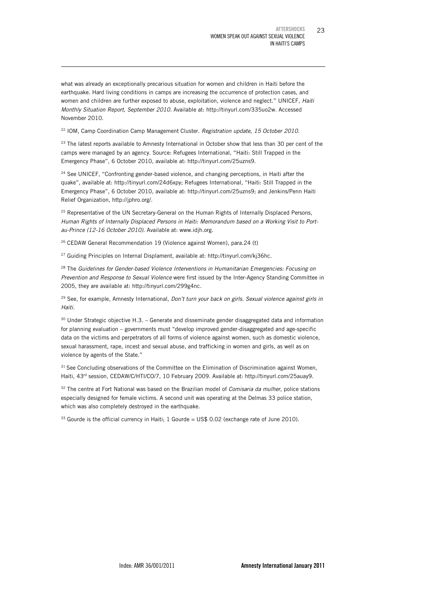what was already an exceptionally precarious situation for women and children in Haiti before the earthquake. Hard living conditions in camps are increasing the occurrence of protection cases, and women and children are further exposed to abuse, exploitation, violence and neglect." UNICEF, *Haiti Monthly Situation Report, September 2010*. Available at: http://tinyurl.com/335uo2w. Accessed November 2010.

22 IOM, Camp Coordination Camp Management Cluster. *Registration update, 15 October 2010.*

-

<sup>23</sup> The latest reports available to Amnesty International in October show that less than 30 per cent of the camps were managed by an agency. Source: Refugees International, "Haiti: Still Trapped in the Emergency Phase", 6 October 2010, available at: http://tinyurl.com/25uzns9.

<sup>24</sup> See UNICEF, "Confronting gender-based violence, and changing perceptions, in Haiti after the quake", available at: http://tinyurl.com/24d6xpy; Refugees International, "Haiti: Still Trapped in the Emergency Phase", 6 October 2010, available at: http://tinyurl.com/25uzns9; and Jenkins/Penn Haiti Relief Organization, http://jphro.org/.

<sup>25</sup> Representative of the UN Secretary-General on the Human Rights of Internally Displaced Persons, *Human Rights of Internally Displaced Persons in Haiti: Memorandum based on a Working Visit to Portau-Prince (12-16 October 2010)*. Available at: www.idjh.org.

<sup>26</sup> CEDAW General Recommendation 19 (Violence against Women), para.24 (t)

<sup>27</sup> Guiding Principles on Internal Displament, available at: http://tinyurl.com/kj36hc.

28 The *Guidelines for Gender-based Violence Interventions in Humanitarian Emergencies: Focusing on Prevention and Response to Sexual Violence* were first issued by the Inter-Agency Standing Committee in 2005, they are available at: http://tinyurl.com/299g4nc.

29 See, for example, Amnesty International, *Don't turn your back on girls. Sexual violence against girls in Haiti.*

 $30$  Under Strategic objective H.3. – Generate and disseminate gender disaggregated data and information for planning evaluation – governments must "develop improved gender-disaggregated and age-specific data on the victims and perpetrators of all forms of violence against women, such as domestic violence, sexual harassment, rape, incest and sexual abuse, and trafficking in women and girls, as well as on violence by agents of the State."

 $31$  See Concluding observations of the Committee on the Elimination of Discrimination against Women, Haiti, 43rd session, CEDAW/C/HTI/CO/7, 10 February 2009. Available at: http://tinyurl.com/25auay9.

32 The centre at Fort National was based on the Brazilian model of *Comisaria da mulher*, police stations especially designed for female victims. A second unit was operating at the Delmas 33 police station, which was also completely destroyed in the earthquake.

 $33$  Gourde is the official currency in Haiti; 1 Gourde = US\$ 0.02 (exchange rate of June 2010).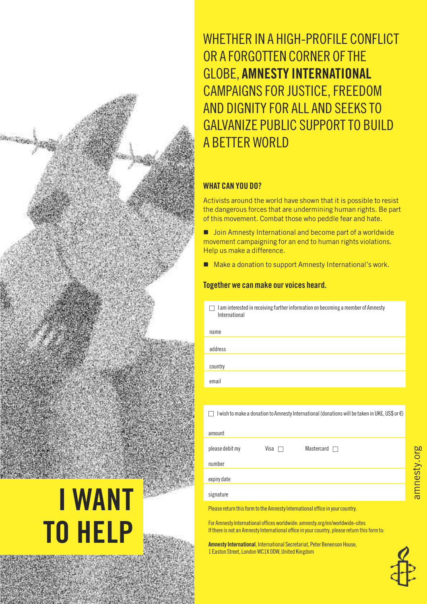**i want**

**to help**

# whetheR In A hIgh-pRoFIle conFlIct OR A FORGOTTEN CORNER OF THE gloBe, **amnestY international** cAMpAIgns FoR JustIce,FReeDoM AnD DIgnItY FoR All AnD seeks to **GALVANIZE PUBLIC SUPPORT TO BUILD** A BetteR woRlD

### **what can You Do?**

Activists around the world have shown that it is possible to resist the dangerous forces that are undermining human rights. Be part of this movement. Combat those who peddle fear and hate.

■ Join Amnesty International and become part of a worldwide movement campaigning for an end to human rights violations. Help us make a difference.

■ Make a donation to support Amnesty International's work.

### **together we canmake ourvoices heard.**

 $\Box$  I am interested in receiving further information on becoming a member of Amnesty International

| name                                                                                           |  |
|------------------------------------------------------------------------------------------------|--|
| address                                                                                        |  |
|                                                                                                |  |
| country                                                                                        |  |
| email                                                                                          |  |
|                                                                                                |  |
| I wish to make a donation to Amnesty International (donations will be taken in UK£, US\$ or €) |  |
| amount                                                                                         |  |
| please debit my<br>Mastercard<br>Visa                                                          |  |
| number                                                                                         |  |
| expiry date                                                                                    |  |
| signature                                                                                      |  |

Please return this form to the Amnesty International office in your country.

For Amnesty International offices worldwide: amnesty.org/en/worldwide-sites If there is not an Amnesty International office in your country, please return this form to:

**Amnesty International**, International Secretariat, Peter Benenson House, 1 Easton Street, London WC1X 0DW, United Kingdom